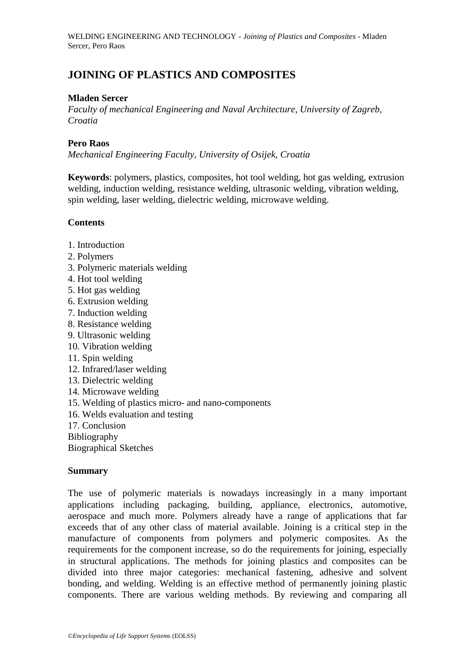# **JOINING OF PLASTICS AND COMPOSITES**

### **Mladen Sercer**

*Faculty of mechanical Engineering and Naval Architecture, University of Zagreb, Croatia*

### **Pero Raos**

*Mechanical Engineering Faculty, University of Osijek, Croatia*

**Keywords**: polymers, plastics, composites, hot tool welding, hot gas welding, extrusion welding, induction welding, resistance welding, ultrasonic welding, vibration welding, spin welding, laser welding, dielectric welding, microwave welding.

## **Contents**

- 1. Introduction
- 2. Polymers
- 3. Polymeric materials welding
- 4. Hot tool welding
- 5. Hot gas welding
- 6. Extrusion welding
- 7. Induction welding
- 8. Resistance welding
- 9. Ultrasonic welding
- 10. Vibration welding
- 11. Spin welding
- 12. Infrared/laser welding
- 13. Dielectric welding
- 14. Microwave welding
- 15. Welding of plastics micro- and nano-components
- 16. Welds evaluation and testing
- 17. Conclusion
- Bibliography

Biographical Sketches

#### **Summary**

The use of polymeric materials is nowadays increasingly in a many important applications including packaging, building, appliance, electronics, automotive, aerospace and much more. Polymers already have a range of applications that far exceeds that of any other class of material available. Joining is a critical step in the manufacture of components from polymers and polymeric composites. As the requirements for the component increase, so do the requirements for joining, especially in structural applications. The methods for joining plastics and composites can be divided into three major categories: mechanical fastening, adhesive and solvent bonding, and welding. Welding is an effective method of permanently joining plastic components. There are various welding methods. By reviewing and comparing all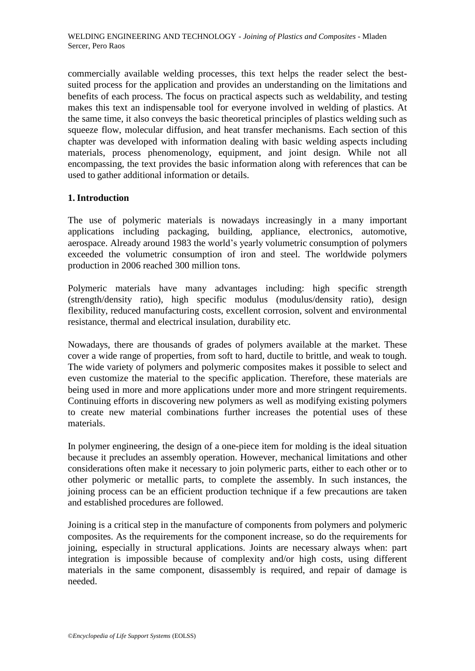commercially available welding processes, this text helps the reader select the bestsuited process for the application and provides an understanding on the limitations and benefits of each process. The focus on practical aspects such as weldability, and testing makes this text an indispensable tool for everyone involved in welding of plastics. At the same time, it also conveys the basic theoretical principles of plastics welding such as squeeze flow, molecular diffusion, and heat transfer mechanisms. Each section of this chapter was developed with information dealing with basic welding aspects including materials, process phenomenology, equipment, and joint design. While not all encompassing, the text provides the basic information along with references that can be used to gather additional information or details.

## **1. Introduction**

The use of polymeric materials is nowadays increasingly in a many important applications including packaging, building, appliance, electronics, automotive, aerospace. Already around 1983 the world's yearly volumetric consumption of polymers exceeded the volumetric consumption of iron and steel. The worldwide polymers production in 2006 reached 300 million tons.

Polymeric materials have many advantages including: high specific strength (strength/density ratio), high specific modulus (modulus/density ratio), design flexibility, reduced manufacturing costs, excellent corrosion, solvent and environmental resistance, thermal and electrical insulation, durability etc.

Nowadays, there are thousands of grades of polymers available at the market. These cover a wide range of properties, from soft to hard, ductile to brittle, and weak to tough. The wide variety of polymers and polymeric composites makes it possible to select and even customize the material to the specific application. Therefore, these materials are being used in more and more applications under more and more stringent requirements. Continuing efforts in discovering new polymers as well as modifying existing polymers to create new material combinations further increases the potential uses of these materials.

In polymer engineering, the design of a one-piece item for molding is the ideal situation because it precludes an assembly operation. However, mechanical limitations and other considerations often make it necessary to join polymeric parts, either to each other or to other polymeric or metallic parts, to complete the assembly. In such instances, the joining process can be an efficient production technique if a few precautions are taken and established procedures are followed.

Joining is a critical step in the manufacture of components from polymers and polymeric composites. As the requirements for the component increase, so do the requirements for joining, especially in structural applications. Joints are necessary always when: part integration is impossible because of complexity and/or high costs, using different materials in the same component, disassembly is required, and repair of damage is needed.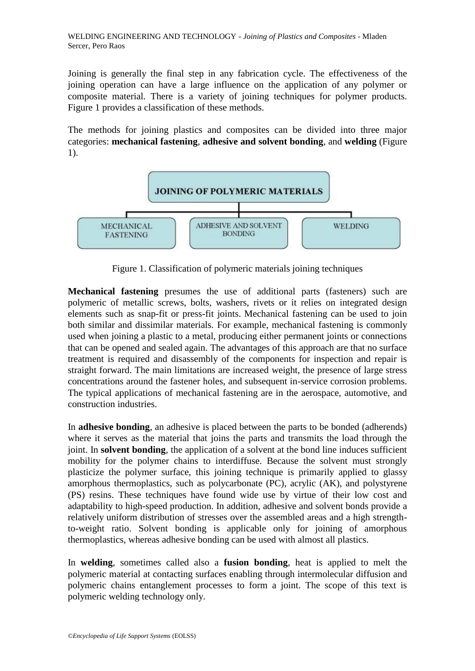Joining is generally the final step in any fabrication cycle. The effectiveness of the joining operation can have a large influence on the application of any polymer or composite material. There is a variety of joining techniques for polymer products. Figure 1 provides a classification of these methods.

The methods for joining plastics and composites can be divided into three major categories: **mechanical fastening**, **adhesive and solvent bonding**, and **welding** (Figure 1).



Figure 1. Classification of polymeric materials joining techniques

**Mechanical fastening** presumes the use of additional parts (fasteners) such are polymeric of metallic screws, bolts, washers, rivets or it relies on integrated design elements such as snap-fit or press-fit joints. Mechanical fastening can be used to join both similar and dissimilar materials. For example, mechanical fastening is commonly used when joining a plastic to a metal, producing either permanent joints or connections that can be opened and sealed again. The advantages of this approach are that no surface treatment is required and disassembly of the components for inspection and repair is straight forward. The main limitations are increased weight, the presence of large stress concentrations around the fastener holes, and subsequent in-service corrosion problems. The typical applications of mechanical fastening are in the aerospace, automotive, and construction industries.

In **adhesive bonding**, an adhesive is placed between the parts to be bonded (adherends) where it serves as the material that joins the parts and transmits the load through the joint. In **solvent bonding**, the application of a solvent at the bond line induces sufficient mobility for the polymer chains to interdiffuse. Because the solvent must strongly plasticize the polymer surface, this joining technique is primarily applied to glassy amorphous thermoplastics, such as polycarbonate (PC), acrylic (AK), and polystyrene (PS) resins. These techniques have found wide use by virtue of their low cost and adaptability to high-speed production. In addition, adhesive and solvent bonds provide a relatively uniform distribution of stresses over the assembled areas and a high strengthto-weight ratio. Solvent bonding is applicable only for joining of amorphous thermoplastics, whereas adhesive bonding can be used with almost all plastics.

In **welding**, sometimes called also a **fusion bonding**, heat is applied to melt the polymeric material at contacting surfaces enabling through intermolecular diffusion and polymeric chains entanglement processes to form a joint. The scope of this text is polymeric welding technology only.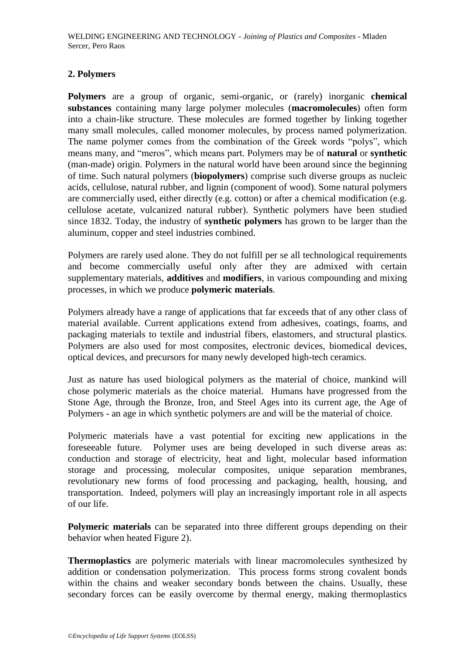### **2. Polymers**

**Polymers** are a group of organic, semi-organic, or (rarely) inorganic **chemical substances** containing many large polymer molecules (**macromolecules**) often form into a chain-like structure. These molecules are formed together by linking together many small molecules, called monomer molecules, by process named polymerization. The name polymer comes from the combination of the Greek words "polys", which means many, and "meros", which means part. Polymers may be of **natural** or **synthetic** (man-made) origin. Polymers in the natural world have been around since the beginning of time. Such natural polymers (**biopolymers**) comprise such diverse groups as nucleic acids, cellulose, natural rubber, and lignin (component of wood). Some natural polymers are commercially used, either directly (e.g. cotton) or after a chemical modification (e.g. cellulose acetate, vulcanized natural rubber). Synthetic polymers have been studied since 1832. Today, the industry of **synthetic polymers** has grown to be larger than the aluminum, copper and steel industries combined.

Polymers are rarely used alone. They do not fulfill per se all technological requirements and become commercially useful only after they are admixed with certain supplementary materials, **additives** and **modifiers**, in various compounding and mixing processes, in which we produce **polymeric materials**.

Polymers already have a range of applications that far exceeds that of any other class of material available. Current applications extend from adhesives, coatings, foams, and packaging materials to textile and industrial fibers, elastomers, and structural plastics. Polymers are also used for most composites, electronic devices, biomedical devices, optical devices, and precursors for many newly developed high-tech ceramics.

Just as nature has used biological polymers as the material of choice, mankind will chose polymeric materials as the choice material. Humans have progressed from the Stone Age, through the Bronze, Iron, and Steel Ages into its current age, the Age of Polymers - an age in which synthetic polymers are and will be the material of choice.

Polymeric materials have a vast potential for exciting new applications in the foreseeable future. Polymer uses are being developed in such diverse areas as: conduction and storage of electricity, heat and light, molecular based information storage and processing, molecular composites, unique separation membranes, revolutionary new forms of food processing and packaging, health, housing, and transportation. Indeed, polymers will play an increasingly important role in all aspects of our life.

**Polymeric materials** can be separated into three different groups depending on their behavior when heated Figure 2).

**Thermoplastics** are polymeric materials with linear macromolecules synthesized by addition or condensation polymerization. This process forms strong covalent bonds within the chains and weaker secondary bonds between the chains. Usually, these secondary forces can be easily overcome by thermal energy, making thermoplastics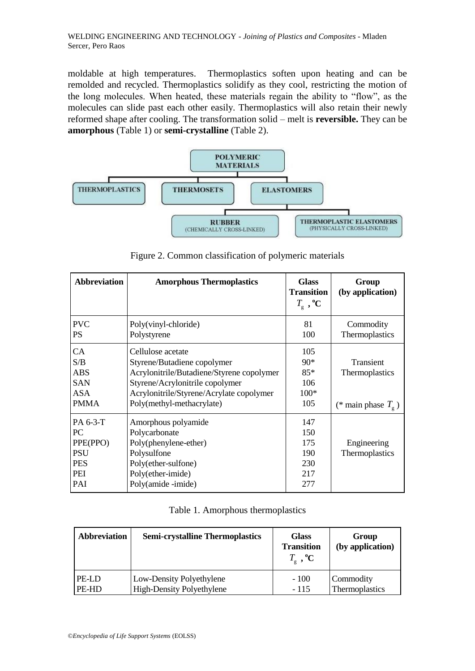moldable at high temperatures. Thermoplastics soften upon heating and can be remolded and recycled. Thermoplastics solidify as they cool, restricting the motion of the long molecules. When heated, these materials regain the ability to "flow", as the molecules can slide past each other easily. Thermoplastics will also retain their newly reformed shape after cooling. The transformation solid – melt is **reversible.** They can be **amorphous** (Table 1) or **semi-crystalline** (Table 2).



Figure 2. Common classification of polymeric materials

| <b>Abbreviation</b>                                                  | <b>Amorphous Thermoplastics</b>                                                                                                                                                                           | <b>Glass</b><br><b>Transition</b><br>$T_{\rm g}$ , °C | Group<br>(by application)                                  |
|----------------------------------------------------------------------|-----------------------------------------------------------------------------------------------------------------------------------------------------------------------------------------------------------|-------------------------------------------------------|------------------------------------------------------------|
| <b>PVC</b><br><b>PS</b>                                              | Poly(vinyl-chloride)<br>Polystyrene                                                                                                                                                                       | 81<br>100                                             | Commodity<br>Thermoplastics                                |
| CA<br>S/B<br><b>ABS</b><br><b>SAN</b><br><b>ASA</b><br><b>PMMA</b>   | Cellulose acetate<br>Styrene/Butadiene copolymer<br>Acrylonitrile/Butadiene/Styrene copolymer<br>Styrene/Acrylonitrile copolymer<br>Acrylonitrile/Styrene/Acrylate copolymer<br>Poly(methyl-methacrylate) | 105<br>$90*$<br>$85*$<br>106<br>$100*$<br>105         | Transient<br>Thermoplastics<br>(* main phase $T_{\rm g}$ ) |
| PA 6-3-T<br>PC<br>PPE(PPO)<br><b>PSU</b><br><b>PES</b><br>PEI<br>PAI | Amorphous polyamide<br>Polycarbonate<br>Poly(phenylene-ether)<br>Polysulfone<br>Poly(ether-sulfone)<br>Poly(ether-imide)<br>Poly(amide -imide)                                                            | 147<br>150<br>175<br>190<br>230<br>217<br>277         | Engineering<br>Thermoplastics                              |

|  | Table 1. Amorphous thermoplastics |  |  |
|--|-----------------------------------|--|--|
|--|-----------------------------------|--|--|

| <b>Abbreviation</b> | <b>Semi-crystalline Thermoplastics</b> | <b>Glass</b><br><b>Transition</b><br>$T_{\rm g}$ , <sup>o</sup> C | Group<br>(by application) |
|---------------------|----------------------------------------|-------------------------------------------------------------------|---------------------------|
| PE-LD               | Low-Density Polyethylene               | $-100$                                                            | Commodity                 |
| PE-HD               | <b>High-Density Polyethylene</b>       | - 115                                                             | Thermoplastics            |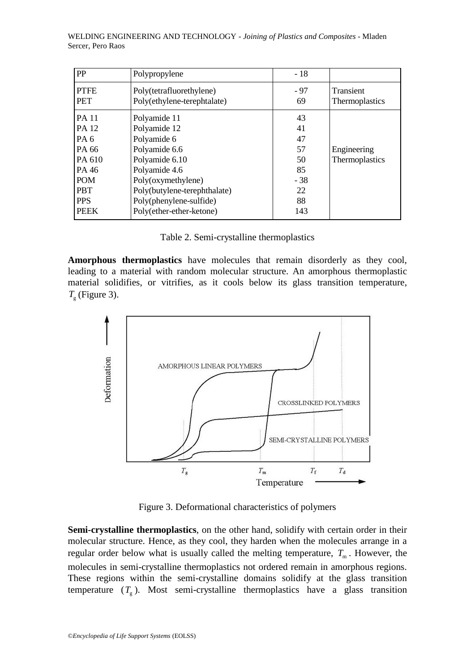| PP                                                                                                                           | Polypropylene                                                                                                                                                                                                | $-18$                                                        |                                    |
|------------------------------------------------------------------------------------------------------------------------------|--------------------------------------------------------------------------------------------------------------------------------------------------------------------------------------------------------------|--------------------------------------------------------------|------------------------------------|
| <b>PTFE</b><br><b>PET</b>                                                                                                    | Poly(tetrafluorethylene)<br>Poly(ethylene-terephtalate)                                                                                                                                                      | - 97<br>69                                                   | <b>Transient</b><br>Thermoplastics |
| <b>PA11</b><br>PA 12<br>PA <sub>6</sub><br>PA 66<br>PA 610<br>PA 46<br><b>POM</b><br><b>PBT</b><br><b>PPS</b><br><b>PEEK</b> | Polyamide 11<br>Polyamide 12<br>Polyamide 6<br>Polyamide 6.6<br>Polyamide 6.10<br>Polyamide 4.6<br>Poly(oxymethylene)<br>Poly(butylene-terephthalate)<br>Poly(phenylene-sulfide)<br>Poly(ether-ether-ketone) | 43<br>41<br>47<br>57<br>50<br>85<br>$-38$<br>22<br>88<br>143 | Engineering<br>Thermoplastics      |

**Amorphous thermoplastics** have molecules that remain disorderly as they cool, leading to a material with random molecular structure. An amorphous thermoplastic material solidifies, or vitrifies, as it cools below its glass transition temperature,  $T_{\rm g}$  (Figure 3).



Figure 3. Deformational characteristics of polymers

**Semi-crystalline thermoplastics**, on the other hand, solidify with certain order in their molecular structure. Hence, as they cool, they harden when the molecules arrange in a regular order below what is usually called the melting temperature,  $T<sub>m</sub>$ . However, the molecules in semi-crystalline thermoplastics not ordered remain in amorphous regions. These regions within the semi-crystalline domains solidify at the glass transition temperature  $(T_g)$ . Most semi-crystalline thermoplastics have a glass transition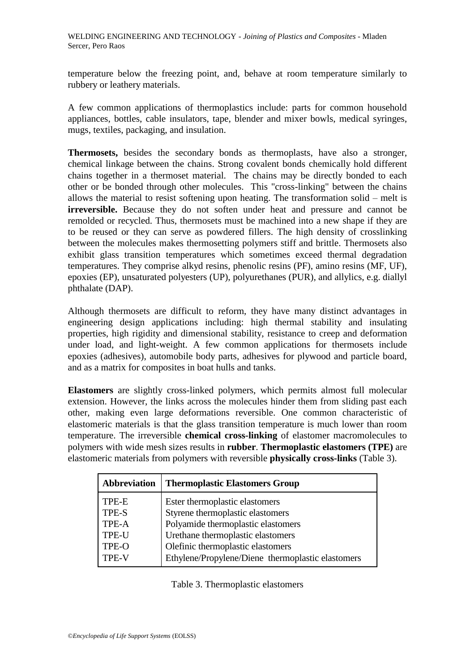temperature below the freezing point, and, behave at room temperature similarly to rubbery or leathery materials.

A few common applications of thermoplastics include: parts for common household appliances, bottles, cable insulators, tape, blender and mixer bowls, medical syringes, mugs, textiles, packaging, and insulation.

**Thermosets,** besides the secondary bonds as thermoplasts, have also a stronger, chemical linkage between the chains. Strong covalent bonds chemically hold different chains together in a thermoset material. The chains may be directly bonded to each other or be bonded through other molecules. This "cross-linking" between the chains allows the material to resist softening upon heating. The transformation solid – melt is **irreversible.** Because they do not soften under heat and pressure and cannot be remolded or recycled. Thus, thermosets must be machined into a new shape if they are to be reused or they can serve as powdered fillers. The high density of crosslinking between the molecules makes thermosetting polymers stiff and brittle. Thermosets also exhibit glass transition temperatures which sometimes exceed thermal degradation temperatures. They comprise alkyd resins, phenolic resins (PF), amino resins (MF, UF), epoxies (EP), unsaturated polyesters (UP), polyurethanes (PUR), and allylics, e.g. diallyl phthalate (DAP).

Although thermosets are difficult to reform, they have many distinct advantages in engineering design applications including: high thermal stability and insulating properties, high rigidity and dimensional stability, resistance to creep and deformation under load, and light-weight. A few common applications for thermosets include epoxies (adhesives), automobile body parts, adhesives for plywood and particle board, and as a matrix for composites in boat hulls and tanks.

**Elastomers** are slightly cross-linked polymers, which permits almost full molecular extension. However, the links across the molecules hinder them from sliding past each other, making even large deformations reversible. One common characteristic of elastomeric materials is that the glass transition temperature is much lower than room temperature. The irreversible **chemical cross-linking** of elastomer macromolecules to polymers with wide mesh sizes results in **rubber**. **Thermoplastic elastomers (TPE)** are elastomeric materials from polymers with reversible **physically cross-links** (Table 3).

| Abbreviation | <b>Thermoplastic Elastomers Group</b>             |
|--------------|---------------------------------------------------|
| TPE-E        | Ester thermoplastic elastomers                    |
| TPE-S        | Styrene thermoplastic elastomers                  |
| TPE-A        | Polyamide thermoplastic elastomers                |
| <b>TPE-U</b> | Urethane thermoplastic elastomers                 |
| TPE-O        | Olefinic thermoplastic elastomers                 |
| <b>TPE-V</b> | Ethylene/Propylene/Diene thermoplastic elastomers |

Table 3. Thermoplastic elastomers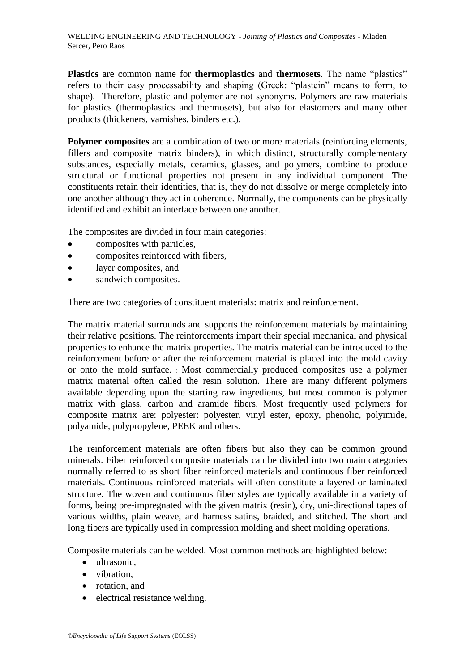**Plastics** are common name for **thermoplastics** and **thermosets**. The name "plastics" refers to their easy processability and shaping (Greek: "plastein" means to form, to shape). Therefore, plastic and polymer are not synonyms. Polymers are raw materials for plastics (thermoplastics and thermosets), but also for elastomers and many other products (thickeners, varnishes, binders etc.).

**Polymer composites** are a combination of two or more materials (reinforcing elements, fillers and composite matrix binders), in which distinct, structurally complementary substances, especially metals, ceramics, glasses, and polymers, combine to produce structural or functional properties not present in any individual component. The constituents retain their identities, that is, they do not dissolve or merge completely into one another although they act in coherence. Normally, the components can be physically identified and exhibit an interface between one another.

The composites are divided in four main categories:

- composites with particles,
- composites reinforced with fibers,
- layer composites, and
- sandwich composites.

There are two categories of constituent materials: matrix and reinforcement.

The matrix material surrounds and supports the reinforcement materials by maintaining their relative positions. The reinforcements impart their special mechanical and physical properties to enhance the matrix properties. The matrix material can be introduced to the reinforcement before or after the reinforcement material is placed into the mold cavity or onto the mold surface. : Most commercially produced composites use a polymer matrix material often called the resin solution. There are many different polymers available depending upon the starting raw ingredients, but most common is polymer matrix with glass, carbon and aramide fibers. Most frequently used polymers for composite matrix are: polyester: polyester, vinyl ester, epoxy, phenolic, polyimide, polyamide, polypropylene, PEEK and others.

The reinforcement materials are often fibers but also they can be common ground minerals. Fiber reinforced composite materials can be divided into two main categories normally referred to as short fiber reinforced materials and continuous fiber reinforced materials. Continuous reinforced materials will often constitute a layered or laminated structure. The woven and continuous fiber styles are typically available in a variety of forms, being pre-impregnated with the given matrix (resin), dry, uni-directional tapes of various widths, plain weave, and harness satins, braided, and stitched. The short and long fibers are typically used in compression molding and sheet molding operations.

Composite materials can be welded. Most common methods are highlighted below:

- ultrasonic,
- vibration.
- rotation, and
- electrical resistance welding.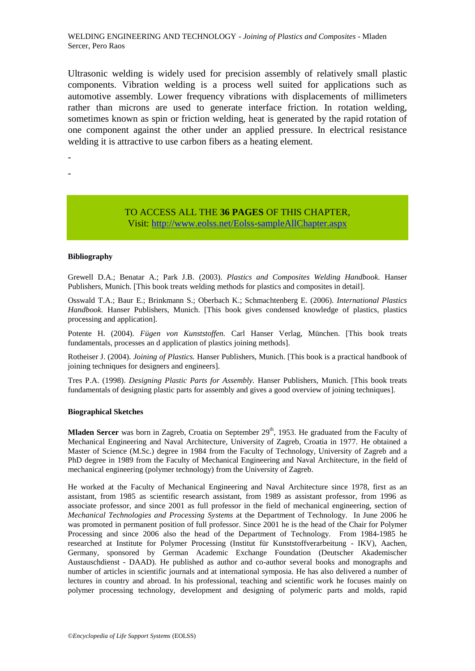Ultrasonic welding is widely used for precision assembly of relatively small plastic components. Vibration welding is a process well suited for applications such as automotive assembly. Lower frequency vibrations with displacements of millimeters rather than microns are used to generate interface friction. In rotation welding, sometimes known as spin or friction welding, heat is generated by the rapid rotation of one component against the other under an applied pressure. In electrical resistance welding it is attractive to use carbon fibers as a heating element.

- -

> TO ACCESS ALL THE **36 PAGES** OF THIS CHAPTER, Visit[: http://www.eolss.net/Eolss-sampleAllChapter.aspx](https://www.eolss.net/ebooklib/sc_cart.aspx?File=E6-171-07-00)

#### **Bibliography**

Grewell D.A.; Benatar A.; Park J.B. (2003). *Plastics and Composites Welding Handbook.* Hanser Publishers, Munich. [This book treats welding methods for plastics and composites in detail].

Osswald T.A.; Baur E.; Brinkmann S.; Oberbach K.; Schmachtenberg E. (2006). *International Plastics*  Handbook. Hanser Publishers, Munich. [This book gives condensed knowledge of plastics, plastics processing and application].

Potente H. (2004). *Fügen von Kunststoffen.* Carl Hanser Verlag, München. [This book treats fundamentals, processes an d application of plastics joining methods].

Rotheiser J. (2004). *Joining of Plastics.* Hanser Publishers, Munich. [This book is a practical handbook of joining techniques for designers and engineers].

Tres P.A. (1998). *Designing Plastic Parts for Assembly.* Hanser Publishers, Munich. [This book treats fundamentals of designing plastic parts for assembly and gives a good overview of joining techniques].

#### **Biographical Sketches**

**Mladen Sercer** was born in Zagreb, Croatia on September 29<sup>th</sup>, 1953. He graduated from the Faculty of Mechanical Engineering and Naval Architecture, University of Zagreb, Croatia in 1977. He obtained a Master of Science (M.Sc.) degree in 1984 from the Faculty of Technology, University of Zagreb and a PhD degree in 1989 from the Faculty of Mechanical Engineering and Naval Architecture, in the field of mechanical engineering (polymer technology) from the University of Zagreb.

He worked at the Faculty of Mechanical Engineering and Naval Architecture since 1978, first as an assistant, from 1985 as scientific research assistant, from 1989 as assistant professor, from 1996 as associate professor, and since 2001 as full professor in the field of mechanical engineering, section of *Mechanical Technologies and Processing Systems* at the Department of Technology. In June 2006 he was promoted in permanent position of full professor. Since 2001 he is the head of the Chair for Polymer Processing and since 2006 also the head of the Department of Technology. From 1984-1985 he researched at Institute for Polymer Processing (Institut für Kunststoffverarbeitung - IKV), Aachen, Germany, sponsored by German Academic Exchange Foundation (Deutscher Akademischer Austauschdienst - DAAD). He published as author and co-author several books and monographs and number of articles in scientific journals and at international symposia. He has also delivered a number of lectures in country and abroad. In his professional, teaching and scientific work he focuses mainly on polymer processing technology, development and designing of polymeric parts and molds, rapid